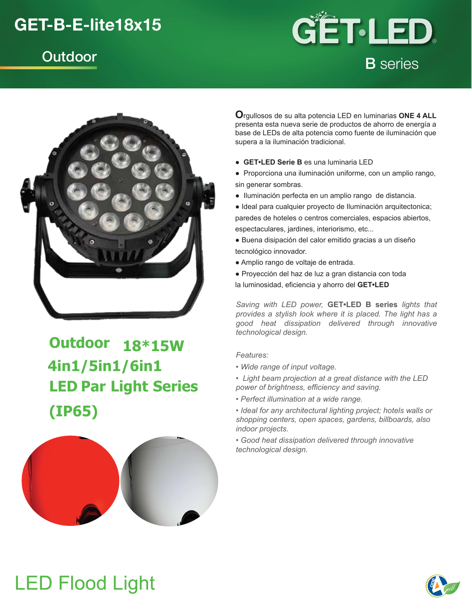### **GET-B-E-lite18x15**





## **Outdoor 18\*15W 4in1/5in1/6in1 LED Par Light Series (IP65)**



**O**rgullosos de su alta potencia LED en luminarias **ONE 4 ALL**  presenta esta nueva serie de productos de ahorro de energía a base de LEDs de alta potencia como fuente de iluminación que supera a la iluminación tradicional.

- **GET•LED Serie B** es una luminaria LED
- Proporciona una iluminación uniforme, con un amplio rango, sin generar sombras.
- Iluminación perfecta en un amplio rango de distancia.
- Ideal para cualquier proyecto de Iluminación arquitectonica; paredes de hoteles o centros comerciales, espacios abiertos, espectaculares, jardines, interiorismo, etc...
- Buena disipación del calor emitido gracias a un diseño tecnológico innovador.
- Amplio rango de voltaje de entrada.
- Proyección del haz de luz a gran distancia con toda

la luminosidad, eficiencia y ahorro del **GET•LED**

*Saving with LED power,* **GET•LED B series** *lights that provides a stylish look where it is placed. The light has a good heat dissipation delivered through innovative technological design.*

### *Features:*

- *Wide range of input voltage.*
- *Light beam projection at a great distance with the LED power of brightness, efficiency and saving.*
- *Perfect illumination at a wide range.*
- *Ideal for any architectural lighting project; hotels walls or shopping centers, open spaces, gardens, billboards, also indoor projects.*
- *Good heat dissipation delivered through innovative technological design.*

# **LED Flood Light**